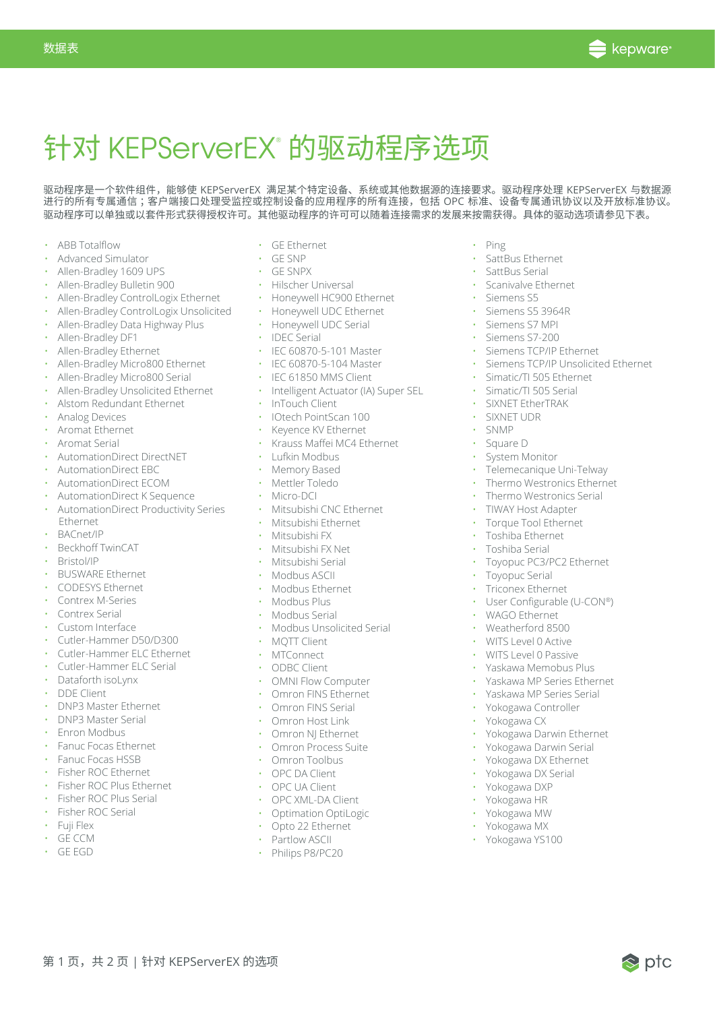

# 针对 KEPServerEX® 的驱动程序选项

驱动程序是一个软件组件,能够使 KEPServerEX 满足某个特定设备、系统或其他数据源的连接要求。驱动程序处理 KEPServerEX 与数据源 进行的所有专属通信 ;客户端接口处理受监控或控制设备的应用程序的所有连接,包括 OPC 标准、设备专属通讯协议以及开放标准协议。 驱动程序可以单独或以套件形式获得授权许可。其他驱动程序的许可可以随着连接需求的发展来按需获得。具体的驱动选项请参见下表。

• ABB Totalflow

数据表

- Advanced Simulator
- Allen-Bradley 1609 UPS
- Allen-Bradley Bulletin 900
- Allen-Bradley ControlLogix Ethernet
- Allen-Bradley ControlLogix Unsolicited Honeywell UDC Ethernet
- Allen-Bradley Data Highway Plus
- Allen-Bradley DF1
- Allen-Bradley Ethernet
- Allen-Bradley Micro800 Ethernet
- Allen-Bradley Micro800 Serial
- Allen-Bradley Unsolicited Ethernet
- Alstom Redundant Ethernet
- Analog Devices
- Aromat Ethernet
- Aromat Serial
- AutomationDirect DirectNET
- AutomationDirect EBC
- AutomationDirect ECOM
- AutomationDirect K Sequence
- AutomationDirect Productivity Series Ethernet
- BACnet/IP
- Beckhoff TwinCAT
- Bristol/IP
- BUSWARE Ethernet
- CODESYS Ethernet
- Contrex M-Series
- Contrex Serial
- Custom Interface
- Cutler-Hammer D50/D300
- Cutler-Hammer ELC Ethernet
- Cutler-Hammer ELC Serial
- Dataforth isoLynx
- DDE Client
- DNP3 Master Ethernet
- DNP3 Master Serial
- Enron Modbus
- Fanuc Focas Ethernet
- Fanuc Focas HSSB
- Fisher ROC Ethernet
- Fisher ROC Plus Ethernet

第 1 页, 共 2 页 | 针对 KEPServerEX 的选项

- Fisher ROC Plus Serial Fisher ROC Serial
- 
- Fuji Flex • GE CCM
- GE EGD
- GE Ethernet
- GE SNP
- GE SNPX
- Hilscher Universal
- Honeywell HC900 Ethernet
	-
	- Honeywell UDC Serial
	- IDEC Serial
	- IEC 60870-5-101 Master
- IEC 60870-5-104 Master
- IEC 61850 MMS Client
- Intelligent Actuator (IA) Super SEL
- InTouch Client
- IOtech PointScan 100
- Keyence KV Ethernet
- Krauss Maffei MC4 Ethernet
- Lufkin Modbus
- Memory Based
- Mettler Toledo
- Micro-DCI
- Mitsubishi CNC Ethernet
	- Mitsubishi Ethernet
- Mitsubishi FX
- Mitsubishi FX Net
- Mitsubishi Serial
- Modbus ASCII
- Modbus Ethernet
- Modbus Plus
- Modbus Serial
- Modbus Unsolicited Serial
- MQTT Client
- MTConnect
- ODBC Client
- OMNI Flow Computer
- Omron FINS Ethernet
- Omron FINS Serial
- Omron Host Link
- Omron NJ Ethernet
- Omron Process Suite
- Omron Toolbus
- OPC DA Client
- OPC UA Client
- OPC XML-DA Client
- Optimation OptiLogic
- Opto 22 Ethernet
- Partlow ASCII
- Philips P8/PC20
- Ping
- SattBus Ethernet
- SattBus Serial
- Scanivalve Ethernet

• Siemens S7 MPI • Siemens S7-200 • Siemens TCP/IP Ethernet

• Simatic/TI 505 Ethernet • Simatic/TI 505 Serial • SIXNET EtherTRAK • SIXNET UDR • SNMP • Square D System Monitor

• Telemecanique Uni-Telway • Thermo Westronics Ethernet • Thermo Westronics Serial • TIWAY Host Adapter • Torque Tool Ethernet • Toshiba Ethernet • Toshiba Serial

• Toyopuc PC3/PC2 Ethernet

• User Configurable (U-CON®)

• Yokogawa Darwin Ethernet • Yokogawa Darwin Serial • Yokogawa DX Ethernet • Yokogawa DX Serial • Yokogawa DXP • Yokogawa HR • Yokogawa MW • Yokogawa MX • Yokogawa YS100

 $\otimes$  p†c

• Toyopuc Serial • Triconex Ethernet

• WAGO Ethernet • Weatherford 8500 • WITS Level 0 Active • WITS Level 0 Passive • Yaskawa Memobus Plus • Yaskawa MP Series Ethernet • Yaskawa MP Series Serial • Yokogawa Controller • Yokogawa CX

• Siemens TCP/IP Unsolicited Ethernet

• Siemens S5 • Siemens S5 3964R